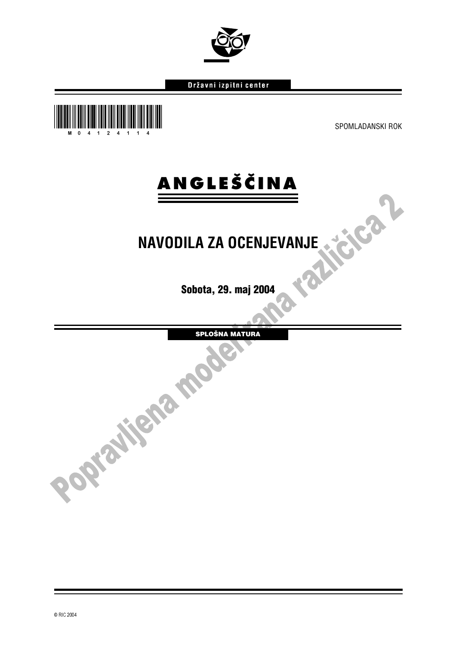

# Državni izpitni center



# **ANGLEŠČINA**

# **NAVODILA ZA OCENJEVANJE**

Sobota, 29. maj 2004

SPLOŠNA MATURA

í l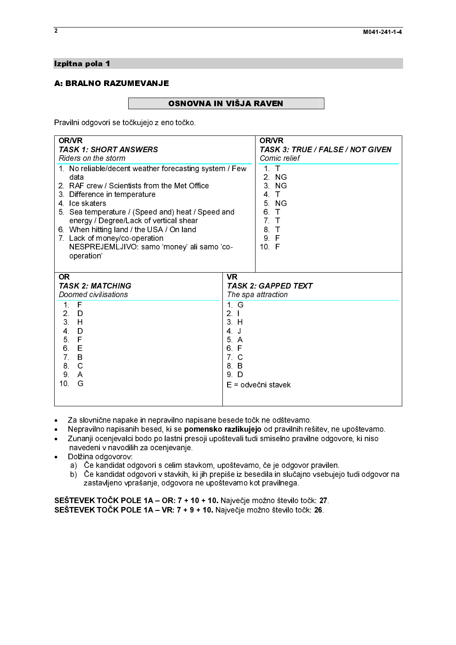# Izpitna pola 1<br>A: BRALNO RAZUMEVANJE

A: BRALAND RAZUMEVANDE<br>A: Bravilhi edgeveri ee teëkvisie z ere Pravilni odgovori se točkujejo z eno točko.

| <b>OR/VR</b><br><b>OR/VR</b><br><b>TASK 1: SHORT ANSWERS</b><br><b>TASK 3: TRUE / FALSE / NOT GIVEN</b><br>Riders on the storm<br>Comic relief<br>1. No reliable/decent weather forecasting system / Few<br>1 <sup>1</sup><br>$\top$<br>2 NG<br>data<br>2. RAF crew / Scientists from the Met Office<br>3 NG<br>4 <sub>1</sub><br>3 Difference in temperature<br>5 NG<br>4 Ice skaters<br>6.<br>$\mathsf{T}$<br>5. Sea temperature / (Speed and) heat / Speed and<br>7 <sub>T</sub><br>energy / Degree/Lack of vertical shear<br>6. When hitting land / the USA / On land<br>8 <sub>1</sub><br>7 Lack of money/co-operation<br>9 F<br>NESPREJEMLJIVO: samo 'money' ali samo 'co-<br>10 F<br>operation'<br><b>OR</b><br><b>VR</b><br><b>TASK 2: MATCHING</b><br><b>TASK 2: GAPPED TEXT</b><br>Doomed civilisations<br>The spa attraction<br>1 G<br>1 F<br>2 <sub>1</sub><br>2 <sup>2</sup><br>D<br>3H<br>3 H<br>$4 \quad$<br>D<br>4 J<br>5 F<br>5 A<br>E<br>6 F<br>6 —<br>$7 \quad B$<br>7 C<br>$\mathbf C$<br>8.<br>8 B<br>9.<br>9 D<br>A<br>10 <sub>1</sub><br>G<br>E = odvečni stavek<br>Za slovnične napake in nepravilno napisane besede točk ne odštevamo.<br>٠<br>Nepravilno napisanih besed, ki se pomensko razlikujejo od pravilnih rešitev, ne upoštevamo.<br>٠<br>Zunanji ocenjevalci bodo po lastni presoji upoštevali tudi smiselno pravilne odgovore, ki niso<br>٠<br>navedeni v navodilih za ocenjevanje.<br>Dolžina odgovorov: |
|-----------------------------------------------------------------------------------------------------------------------------------------------------------------------------------------------------------------------------------------------------------------------------------------------------------------------------------------------------------------------------------------------------------------------------------------------------------------------------------------------------------------------------------------------------------------------------------------------------------------------------------------------------------------------------------------------------------------------------------------------------------------------------------------------------------------------------------------------------------------------------------------------------------------------------------------------------------------------------------------------------------------------------------------------------------------------------------------------------------------------------------------------------------------------------------------------------------------------------------------------------------------------------------------------------------------------------------------------------------------------------------------------------------------------------------------------|
|                                                                                                                                                                                                                                                                                                                                                                                                                                                                                                                                                                                                                                                                                                                                                                                                                                                                                                                                                                                                                                                                                                                                                                                                                                                                                                                                                                                                                                               |
|                                                                                                                                                                                                                                                                                                                                                                                                                                                                                                                                                                                                                                                                                                                                                                                                                                                                                                                                                                                                                                                                                                                                                                                                                                                                                                                                                                                                                                               |
|                                                                                                                                                                                                                                                                                                                                                                                                                                                                                                                                                                                                                                                                                                                                                                                                                                                                                                                                                                                                                                                                                                                                                                                                                                                                                                                                                                                                                                               |
| a) Če kandidat odgovori s celim stavkom, upoštevamo, če je odgovor pravilen.<br>b) Če kandidat odgovori v stavkih, ki jih prepiše iz besedila in slučajno vsebujejo tudi odgovor na<br>zastavljeno vprašanje, odgovora ne upoštevamo kot pravilnega.<br>SEŠTEVEK TOČK POLE 1A – OR: 7 + 10 + 10. Največje možno število točk: 27.<br>SEŠTEVEK TOČK POLE 1A - VR: 7 + 9 + 10. Največje možno število točk: 26.                                                                                                                                                                                                                                                                                                                                                                                                                                                                                                                                                                                                                                                                                                                                                                                                                                                                                                                                                                                                                                 |
|                                                                                                                                                                                                                                                                                                                                                                                                                                                                                                                                                                                                                                                                                                                                                                                                                                                                                                                                                                                                                                                                                                                                                                                                                                                                                                                                                                                                                                               |

- 
- -● Za slovnične napake in nepravilno napisane besede točk ne odštevamo.<br>● Nepravilno napisanih besed, ki se **pomensko razlikujejo** od pravilnih rešitev, ne upoštevamo.
- -Nepravilno napisanih besed, ki se **pomensko razlikujejo** od pravilnih rešitev, ne upoštevamo.<br>Zunanji ocenjevalci bodo po lastni presoji upoštevali tudi smiselno pravilne odgovore, ki niso<br>navedeni v navodilih za ocenjevan Zunanji ocenjevalci bodo po lastni presoji upoštevali tudi smiselno pravilne odgovore, ki niso navedeni v navodilih za ocenjevanje.
- Dolžina odgovorov:  $\bullet$ 
	- a) Če kandidat odgovori s celim stavkom, upoštevamo, če je odgovor pravilen.
	- b) Če kandidat odgovori v stavkih, ki jih prepiše iz besedila in slučajno vsebujejo tudi odgovor na zastavljeno vprašanje, odgovora ne upoštevamo kot pravilnega.

 $\overline{2}$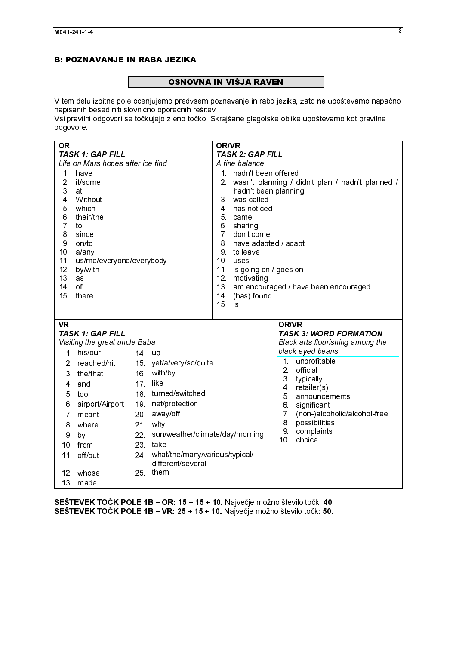# **Example 2** OSNOV

 $\frac{1}{2}$ UNITO DE MARIJA RAVIGIJA U TAM ISLAMA I<br>V tem delu izpitne pole ocenjujemo predvsem poznavanje in rabo jez<br>Nsi pravilni odgovori se točkujejo z eno točko. Skrajšane glagolske ol V tem delu izpitne pole ocenjujemo predvsem poznavanje in rabo jezika, zato **ne** upoštevamo napačno.<br>napisanih besed niti slovnično oporečnih rešitev. napisanih besed niti slovnično oporečnih rešitev.

Vsi pravilni odgovori se točkujejo z eno točko. Skrajšane glagolske oblike upoštevamo kot pravilne odgovore.

| <b>TASK 2: GAP FILL</b><br><b>TASK 1: GAP FILL</b><br>Life on Mars hopes after ice find<br>A fine balance<br>1. hadn't been offered<br>$\mathbf 1$ .<br>have<br>2 <sup>1</sup><br>2. wasn't planning / didn't plan / hadn't planned /<br>it/some<br>3 <sup>1</sup><br>hadn't been planning<br>at<br>Without<br>3 was called<br>4.<br>which<br>5 <sub>1</sub><br>4 has noticed<br>their/the<br>6.<br>5 came<br>7 <sub>1</sub><br>6 sharing<br>to<br>7 don't come<br>8.<br>since<br>9<br>on/to<br>8 have adapted / adapt<br>a/any<br>9 to leave<br>10 <sup>1</sup><br>11. us/me/everyone/everybody<br>10 uses<br>12.<br>by/with<br>11 is going on / goes on<br>13 <sup>7</sup><br>12 motivating<br>as<br>13. am encouraged / have been encouraged<br>14<br>of<br>14 (has) found<br>15 <sup>1</sup><br>there<br>$15$ is<br><b>VR</b><br><b>OR/VR</b><br><b>TASK 1: GAP FILL</b><br><b>TASK 3: WORD FORMATION</b><br>Visiting the great uncle Baba<br>Black arts flourishing among the<br>black-eyed beans<br>1 his/our<br>14 up<br>1 <sub>1</sub><br>unprofitable<br>15 yet/a/very/so/quite<br>2. reached/hit<br>2 <sup>1</sup><br>official<br>16 with/by<br>3 the/that<br>3 <sup>1</sup><br>typically<br>like<br>17 <sup>2</sup><br>4 and<br>retailer(s)<br>4<br>18 turned/switched<br>5 too<br>5.<br>announcements<br>19 net/protection<br>airport/Airport<br>6.<br>6.<br>significant<br>7 <sup>1</sup><br>away/off<br>(non-)alcoholic/alcohol-free<br>20 <sub>1</sub><br>7.<br>meant<br>8.<br>possibilities<br>21 why<br>8 where<br>9.<br>complaints<br>22 sun/weather/climate/day/morning<br>9 by<br>10 <sup>1</sup><br>choice<br>23 take<br>10 from<br>24 what/the/many/various/typical/<br>11. off/out<br>different/several<br>25 them<br>12 whose<br>13 made |  |  |  |  | <b>OR/VR</b> |  |
|------------------------------------------------------------------------------------------------------------------------------------------------------------------------------------------------------------------------------------------------------------------------------------------------------------------------------------------------------------------------------------------------------------------------------------------------------------------------------------------------------------------------------------------------------------------------------------------------------------------------------------------------------------------------------------------------------------------------------------------------------------------------------------------------------------------------------------------------------------------------------------------------------------------------------------------------------------------------------------------------------------------------------------------------------------------------------------------------------------------------------------------------------------------------------------------------------------------------------------------------------------------------------------------------------------------------------------------------------------------------------------------------------------------------------------------------------------------------------------------------------------------------------------------------------------------------------------------------------------------------------------------------------------------------------------------------------------------------------------------------------------------|--|--|--|--|--------------|--|
|                                                                                                                                                                                                                                                                                                                                                                                                                                                                                                                                                                                                                                                                                                                                                                                                                                                                                                                                                                                                                                                                                                                                                                                                                                                                                                                                                                                                                                                                                                                                                                                                                                                                                                                                                                  |  |  |  |  |              |  |
|                                                                                                                                                                                                                                                                                                                                                                                                                                                                                                                                                                                                                                                                                                                                                                                                                                                                                                                                                                                                                                                                                                                                                                                                                                                                                                                                                                                                                                                                                                                                                                                                                                                                                                                                                                  |  |  |  |  |              |  |
|                                                                                                                                                                                                                                                                                                                                                                                                                                                                                                                                                                                                                                                                                                                                                                                                                                                                                                                                                                                                                                                                                                                                                                                                                                                                                                                                                                                                                                                                                                                                                                                                                                                                                                                                                                  |  |  |  |  |              |  |
|                                                                                                                                                                                                                                                                                                                                                                                                                                                                                                                                                                                                                                                                                                                                                                                                                                                                                                                                                                                                                                                                                                                                                                                                                                                                                                                                                                                                                                                                                                                                                                                                                                                                                                                                                                  |  |  |  |  |              |  |
|                                                                                                                                                                                                                                                                                                                                                                                                                                                                                                                                                                                                                                                                                                                                                                                                                                                                                                                                                                                                                                                                                                                                                                                                                                                                                                                                                                                                                                                                                                                                                                                                                                                                                                                                                                  |  |  |  |  |              |  |
|                                                                                                                                                                                                                                                                                                                                                                                                                                                                                                                                                                                                                                                                                                                                                                                                                                                                                                                                                                                                                                                                                                                                                                                                                                                                                                                                                                                                                                                                                                                                                                                                                                                                                                                                                                  |  |  |  |  |              |  |
|                                                                                                                                                                                                                                                                                                                                                                                                                                                                                                                                                                                                                                                                                                                                                                                                                                                                                                                                                                                                                                                                                                                                                                                                                                                                                                                                                                                                                                                                                                                                                                                                                                                                                                                                                                  |  |  |  |  |              |  |
|                                                                                                                                                                                                                                                                                                                                                                                                                                                                                                                                                                                                                                                                                                                                                                                                                                                                                                                                                                                                                                                                                                                                                                                                                                                                                                                                                                                                                                                                                                                                                                                                                                                                                                                                                                  |  |  |  |  |              |  |
|                                                                                                                                                                                                                                                                                                                                                                                                                                                                                                                                                                                                                                                                                                                                                                                                                                                                                                                                                                                                                                                                                                                                                                                                                                                                                                                                                                                                                                                                                                                                                                                                                                                                                                                                                                  |  |  |  |  |              |  |
|                                                                                                                                                                                                                                                                                                                                                                                                                                                                                                                                                                                                                                                                                                                                                                                                                                                                                                                                                                                                                                                                                                                                                                                                                                                                                                                                                                                                                                                                                                                                                                                                                                                                                                                                                                  |  |  |  |  |              |  |
|                                                                                                                                                                                                                                                                                                                                                                                                                                                                                                                                                                                                                                                                                                                                                                                                                                                                                                                                                                                                                                                                                                                                                                                                                                                                                                                                                                                                                                                                                                                                                                                                                                                                                                                                                                  |  |  |  |  |              |  |
|                                                                                                                                                                                                                                                                                                                                                                                                                                                                                                                                                                                                                                                                                                                                                                                                                                                                                                                                                                                                                                                                                                                                                                                                                                                                                                                                                                                                                                                                                                                                                                                                                                                                                                                                                                  |  |  |  |  |              |  |
|                                                                                                                                                                                                                                                                                                                                                                                                                                                                                                                                                                                                                                                                                                                                                                                                                                                                                                                                                                                                                                                                                                                                                                                                                                                                                                                                                                                                                                                                                                                                                                                                                                                                                                                                                                  |  |  |  |  |              |  |
|                                                                                                                                                                                                                                                                                                                                                                                                                                                                                                                                                                                                                                                                                                                                                                                                                                                                                                                                                                                                                                                                                                                                                                                                                                                                                                                                                                                                                                                                                                                                                                                                                                                                                                                                                                  |  |  |  |  |              |  |
|                                                                                                                                                                                                                                                                                                                                                                                                                                                                                                                                                                                                                                                                                                                                                                                                                                                                                                                                                                                                                                                                                                                                                                                                                                                                                                                                                                                                                                                                                                                                                                                                                                                                                                                                                                  |  |  |  |  |              |  |
|                                                                                                                                                                                                                                                                                                                                                                                                                                                                                                                                                                                                                                                                                                                                                                                                                                                                                                                                                                                                                                                                                                                                                                                                                                                                                                                                                                                                                                                                                                                                                                                                                                                                                                                                                                  |  |  |  |  |              |  |
|                                                                                                                                                                                                                                                                                                                                                                                                                                                                                                                                                                                                                                                                                                                                                                                                                                                                                                                                                                                                                                                                                                                                                                                                                                                                                                                                                                                                                                                                                                                                                                                                                                                                                                                                                                  |  |  |  |  |              |  |
|                                                                                                                                                                                                                                                                                                                                                                                                                                                                                                                                                                                                                                                                                                                                                                                                                                                                                                                                                                                                                                                                                                                                                                                                                                                                                                                                                                                                                                                                                                                                                                                                                                                                                                                                                                  |  |  |  |  |              |  |
| SEŠTEVEK TOČK POLE 1B - OR: 15 + 15 + 10. Največje možno število točk: 40.<br>SEŠTEVEK TOČK POLE 1B - VR: 25 + 15 + 10. Največje možno število točk: 50.                                                                                                                                                                                                                                                                                                                                                                                                                                                                                                                                                                                                                                                                                                                                                                                                                                                                                                                                                                                                                                                                                                                                                                                                                                                                                                                                                                                                                                                                                                                                                                                                         |  |  |  |  |              |  |
|                                                                                                                                                                                                                                                                                                                                                                                                                                                                                                                                                                                                                                                                                                                                                                                                                                                                                                                                                                                                                                                                                                                                                                                                                                                                                                                                                                                                                                                                                                                                                                                                                                                                                                                                                                  |  |  |  |  |              |  |
|                                                                                                                                                                                                                                                                                                                                                                                                                                                                                                                                                                                                                                                                                                                                                                                                                                                                                                                                                                                                                                                                                                                                                                                                                                                                                                                                                                                                                                                                                                                                                                                                                                                                                                                                                                  |  |  |  |  |              |  |
|                                                                                                                                                                                                                                                                                                                                                                                                                                                                                                                                                                                                                                                                                                                                                                                                                                                                                                                                                                                                                                                                                                                                                                                                                                                                                                                                                                                                                                                                                                                                                                                                                                                                                                                                                                  |  |  |  |  |              |  |
|                                                                                                                                                                                                                                                                                                                                                                                                                                                                                                                                                                                                                                                                                                                                                                                                                                                                                                                                                                                                                                                                                                                                                                                                                                                                                                                                                                                                                                                                                                                                                                                                                                                                                                                                                                  |  |  |  |  |              |  |
|                                                                                                                                                                                                                                                                                                                                                                                                                                                                                                                                                                                                                                                                                                                                                                                                                                                                                                                                                                                                                                                                                                                                                                                                                                                                                                                                                                                                                                                                                                                                                                                                                                                                                                                                                                  |  |  |  |  |              |  |
|                                                                                                                                                                                                                                                                                                                                                                                                                                                                                                                                                                                                                                                                                                                                                                                                                                                                                                                                                                                                                                                                                                                                                                                                                                                                                                                                                                                                                                                                                                                                                                                                                                                                                                                                                                  |  |  |  |  |              |  |
|                                                                                                                                                                                                                                                                                                                                                                                                                                                                                                                                                                                                                                                                                                                                                                                                                                                                                                                                                                                                                                                                                                                                                                                                                                                                                                                                                                                                                                                                                                                                                                                                                                                                                                                                                                  |  |  |  |  |              |  |
|                                                                                                                                                                                                                                                                                                                                                                                                                                                                                                                                                                                                                                                                                                                                                                                                                                                                                                                                                                                                                                                                                                                                                                                                                                                                                                                                                                                                                                                                                                                                                                                                                                                                                                                                                                  |  |  |  |  |              |  |
|                                                                                                                                                                                                                                                                                                                                                                                                                                                                                                                                                                                                                                                                                                                                                                                                                                                                                                                                                                                                                                                                                                                                                                                                                                                                                                                                                                                                                                                                                                                                                                                                                                                                                                                                                                  |  |  |  |  |              |  |
|                                                                                                                                                                                                                                                                                                                                                                                                                                                                                                                                                                                                                                                                                                                                                                                                                                                                                                                                                                                                                                                                                                                                                                                                                                                                                                                                                                                                                                                                                                                                                                                                                                                                                                                                                                  |  |  |  |  |              |  |
|                                                                                                                                                                                                                                                                                                                                                                                                                                                                                                                                                                                                                                                                                                                                                                                                                                                                                                                                                                                                                                                                                                                                                                                                                                                                                                                                                                                                                                                                                                                                                                                                                                                                                                                                                                  |  |  |  |  |              |  |
|                                                                                                                                                                                                                                                                                                                                                                                                                                                                                                                                                                                                                                                                                                                                                                                                                                                                                                                                                                                                                                                                                                                                                                                                                                                                                                                                                                                                                                                                                                                                                                                                                                                                                                                                                                  |  |  |  |  |              |  |
|                                                                                                                                                                                                                                                                                                                                                                                                                                                                                                                                                                                                                                                                                                                                                                                                                                                                                                                                                                                                                                                                                                                                                                                                                                                                                                                                                                                                                                                                                                                                                                                                                                                                                                                                                                  |  |  |  |  |              |  |
|                                                                                                                                                                                                                                                                                                                                                                                                                                                                                                                                                                                                                                                                                                                                                                                                                                                                                                                                                                                                                                                                                                                                                                                                                                                                                                                                                                                                                                                                                                                                                                                                                                                                                                                                                                  |  |  |  |  |              |  |
|                                                                                                                                                                                                                                                                                                                                                                                                                                                                                                                                                                                                                                                                                                                                                                                                                                                                                                                                                                                                                                                                                                                                                                                                                                                                                                                                                                                                                                                                                                                                                                                                                                                                                                                                                                  |  |  |  |  |              |  |
|                                                                                                                                                                                                                                                                                                                                                                                                                                                                                                                                                                                                                                                                                                                                                                                                                                                                                                                                                                                                                                                                                                                                                                                                                                                                                                                                                                                                                                                                                                                                                                                                                                                                                                                                                                  |  |  |  |  |              |  |
|                                                                                                                                                                                                                                                                                                                                                                                                                                                                                                                                                                                                                                                                                                                                                                                                                                                                                                                                                                                                                                                                                                                                                                                                                                                                                                                                                                                                                                                                                                                                                                                                                                                                                                                                                                  |  |  |  |  |              |  |
|                                                                                                                                                                                                                                                                                                                                                                                                                                                                                                                                                                                                                                                                                                                                                                                                                                                                                                                                                                                                                                                                                                                                                                                                                                                                                                                                                                                                                                                                                                                                                                                                                                                                                                                                                                  |  |  |  |  |              |  |
|                                                                                                                                                                                                                                                                                                                                                                                                                                                                                                                                                                                                                                                                                                                                                                                                                                                                                                                                                                                                                                                                                                                                                                                                                                                                                                                                                                                                                                                                                                                                                                                                                                                                                                                                                                  |  |  |  |  |              |  |
|                                                                                                                                                                                                                                                                                                                                                                                                                                                                                                                                                                                                                                                                                                                                                                                                                                                                                                                                                                                                                                                                                                                                                                                                                                                                                                                                                                                                                                                                                                                                                                                                                                                                                                                                                                  |  |  |  |  |              |  |
|                                                                                                                                                                                                                                                                                                                                                                                                                                                                                                                                                                                                                                                                                                                                                                                                                                                                                                                                                                                                                                                                                                                                                                                                                                                                                                                                                                                                                                                                                                                                                                                                                                                                                                                                                                  |  |  |  |  |              |  |
|                                                                                                                                                                                                                                                                                                                                                                                                                                                                                                                                                                                                                                                                                                                                                                                                                                                                                                                                                                                                                                                                                                                                                                                                                                                                                                                                                                                                                                                                                                                                                                                                                                                                                                                                                                  |  |  |  |  |              |  |
|                                                                                                                                                                                                                                                                                                                                                                                                                                                                                                                                                                                                                                                                                                                                                                                                                                                                                                                                                                                                                                                                                                                                                                                                                                                                                                                                                                                                                                                                                                                                                                                                                                                                                                                                                                  |  |  |  |  |              |  |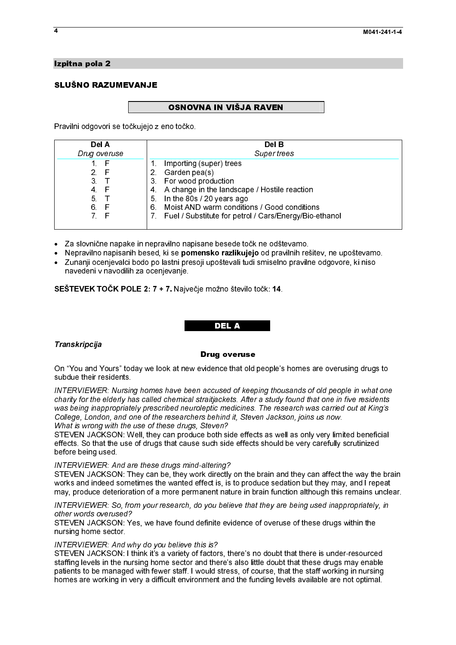## Izpitna pola 2

# SLUŠNO RAZUMEVANJE

### OSNOVNA IN VIŠJA RAVEN

Pravilni odgovori se točkujejo z eno točko.

| Del A        | Del B                                                  |
|--------------|--------------------------------------------------------|
| Drug overuse | Super trees                                            |
| F            | Importing (super) trees                                |
| 2.<br>F      | Garden pea(s)<br>2 <sup>1</sup>                        |
| 3.           | For wood production<br>3.                              |
| F<br>4.      | 4 A change in the landscape / Hostile reaction         |
| 5.           | 5. In the 80s / 20 years ago                           |
| 6.<br>F      | Moist AND warm conditions / Good conditions<br>6.      |
| 7.           | Fuel / Substitute for petrol / Cars/Energy/Bio-ethanol |
|              |                                                        |

- Za slovnične napake in nepravilno napisane besede točk ne odštevamo.<br>● Nepravilno napisanih besed, ki se **nomensko razlikujejo** od pravilnih reš
- 
- $\ddot{\phantom{a}}$ -Nepravilno napisanih besed, ki se **pomensko razlikujejo** od pravilnih rešitev, ne upoštevamo.<br>Zunanji ocenjevalci bodo po lastni presoji upoštevali tudi smiselno pravilne odgovore, ki niso<br>navedeni v navodilih za ocenjevan Zunanji ocenjevalci bodo po lastni presoji upoštevali tudi smiselno pravilne odgovore, ki niso navedeni v navodilih za ocenjevanje.

SEŠTEVEK TOČK POLE 2: 7 + 7. Največje možno število točk: 14.

### DEL A

# $\ddot{\phantom{0}}$  Transkripcija

### Drug overuse

On "You and Yours" today we look at new evidence that old people's homes are overusing drugs to subdue their residents.

INTERVIEWER: Nursing homes have been accused of keeping thousands of old people in what one charity for the elderly has called chemical straitjackets. After a study found that one in five residents was being inappropriately prescribed neuroleptic medicines. The research was carried out at King's College, London, and one of the researchers behind it, Steven Jackson, joins us now. What is wrong with the use of these drugs, Steven?

STEVEN JACKSON: Well, they can produce both side effects as well as only very limited beneficial effects. So that the use of drugs that cause such side effects should be very carefully scrutinized before being used.

### INTERVIEWER: And are these drugs mind-altering?

STEVEN JACKSON: They can be, they work directly on the brain and they can affect the way the brain works and indeed sometimes the wanted effect is, is to produce sedation but they may, and I repeat may, produce deterioration of a more permanent nature in brain function although this remains unclear.

### INTERVIEWER: So, from your research, do you believe that they are being used inappropriately, in other words overused?

STEVEN JACKSON: Yes, we have found definite evidence of overuse of these drugs within the nursing home sector.

### INTERVIEWER: And why do you believe this is?

STEVEN JACKSON: I think it's a variety of factors, there's no doubt that there is under-resourced staffing levels in the nursing home sector and there's also little doubt that these drugs may enable patients to be managed with fewer staff. I would stress, of course, that the staff working in nursing homes are working in very a difficult environment and the funding levels available are not optimal.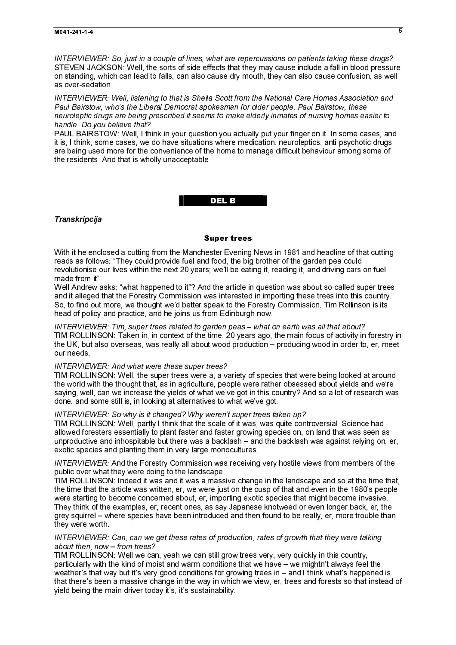INTERVIEWER: So, just in a couple of lines, what are repercussions on patients taking these drugs? STEVEN JACKSON: Well, the sorts of side effects that they may cause include a fall in blood pressure on standing, which can lead to falls, can also cause dry mouth, they can also cause confusion, as well as over-sedation.

INTERVIEWER: Well, listening to that is Sheila Scott from the National Care Homes Association and Paul Bairstow, who's the Liberal Democrat spokesman for older people. Paul Bairstow, these neuroleptic drugs are being prescribed it seems to make elderly inmates of nursing homes easier to handle. Do you believe that?

PAUL BAIRSTOW: Well, I think in your question you actually put your finger on it. In some cases, and it is, I think, some cases, we do have situations where medication, neuroleptics, anti-psychotic drugs are being used more for the convenience of the home to manage difficult behaviour among some of the residents. And that is wholly unacceptable.

# del base de la construcción de la construcción de la construcción de la construcción de la construcción de la

### Transkripcija

### Super trees

With it he enclosed a cutting from the Manchester Evening News in 1981 and headline of that cutting reads as follows: "They could provide fuel and food, the big brother of the garden pea could revolutionise our lives within the next 20 years; we'll be eating it, reading it, and driving cars on fuel made from it".

Well Andrew asks: "what happened to it"? And the article in question was about so-called super trees and it alleged that the Forestry Commission was interested in importing these trees into this country. So, to find out more, we thought we'd better speak to the Forestry Commission. Tim Rollinson is its head of policy and practice, and he joins us from Edinburgh now.

INTERVIEWER: Tim, super trees related to garden peas – what on earth was all that about? TIM ROLLINSON: Taken in, in context of the time, 20 years ago, the main focus of activity in forestry in the UK, but also overseas, was really all about wood production – producing wood in order to, er, meet our needs.

### INTERVIEWER: And what were these super trees?

TIM ROLLINSON: Well, the super trees were a, a variety of species that were being looked at around the world with the thought that, as in agriculture, people were rather obsessed about yields and we're saying, well, can we increase the yields of what we've got in this country? And so a lot of research was done, and some still is, in looking at alternatives to what we've got.

## INTERVIEWER: So why is it changed? Why weren't super trees taken up?

TIM ROLLINSON: Well, partly I think that the scale of it was, was quite controversial. Science had allowed foresters essentially to plant faster and faster growing species on, on land that was seen as unproductive and inhospitable but there was a backlash – and the backlash was against relying on, er, exotic species and planting them in very large monocultures.

INTERVIEWER: And the Forestry Commission was receiving very hostile views from members of the public over what they were doing to the landscape.

TIM ROLLINSON: Indeed it was and it was a massive change in the landscape and so at the time that, the time that the article was written, er, we were just on the cusp of that and even in the 1980's people were starting to become concerned about, er, importing exotic species that might become invasive. They think of the examples, er, recent ones, as say Japanese knotweed or even longer back, er, the grey squirrel – where species have been introduced and then found to be really, er, more trouble than they were worth.

### INTERVIEWER: Can, can we get these rates of production, rates of growth that they were talking about then, now – from trees?

TIM ROLLINSON: Well we can, yeah we can still grow trees very, very quickly in this country, particularly with the kind of moist and warm conditions that we have – we mightn't always feel the weather's that way but it's very good conditions for growing trees in - and I think what's happened is that there's been a massive change in the way in which we view, er, trees and forests so that instead of yield being the main driver today it's, it's sustainability.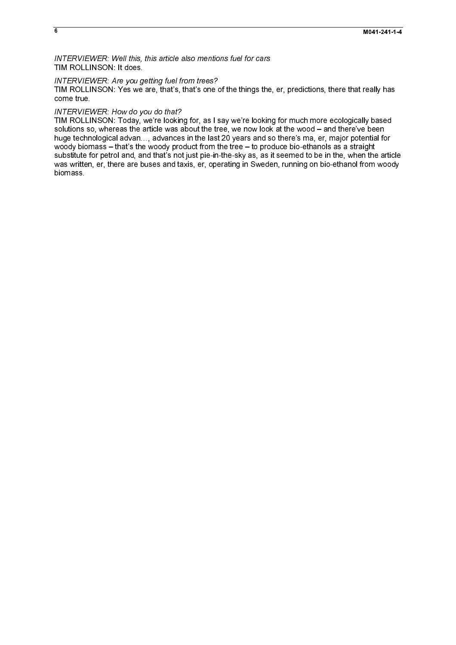INTERVIEWER: Well this, this article also mentions fuel for cars<br>TIM ROLLINSON: It does.

INTERVIEWER: Are you getting fuel from trees?<br>TIM ROLLINSON: Yes we are, that's, that's one of the things the, er, predictions, there that really has

 $\overline{6}$ 

INTERVIEWER: Are you g<br>INMERVIEWER: Are you g<br>TIM ROLLINSON: Yes we<br>come true.<br>INTERVIEWER: How do you<br>Solutions so, whereas the a<br>blum ROLLINSON: Today, whore somewhold biomass - that's the<br>substitute for petrol and, are<br> come those we are, there do you do Nor?<br>TIM ROLLINSON: Terminy, we are looking for as issny we're motive for the things to move in the things of the things the things the things the things the things the things the things INTERVIEV<br>TIM ROLLII<br>solutions sc<br>huge techn<br>woody biom<br>substitute for<br>biomass. INTERVIEWER: How do you do that?<br>TIM ROLLINSON: Today, we're looking for, as I say we're looking for much more ecologically based solutions of the state of the state of the best we now look it the voor  $-\infty$  of the two orders of the state of much more expectations in the best  $T$  say we have the much more expectations of  $\sim$  much more expectations suge technological ations ..., advances in the last 20 years and to there's ma<sub>s</sub> c, may instructed the woody borning the article woody borning the wood – and the state of the article wood – and the wood – and the wood – a woody bornes – hats technological advances in the last 20 years and so the determines as a step in the last 20 years and so the last 20 years and so the last 20 years and so the last 20 years and so the last 20 years and s w.bestitute for period and a match institution in the 4-to-the 4-ty as, as it seemed to be in the when the woodward from two product from the wood tree – to produce a straight of the tree are buses and taxis, et operating was written, an<br>substitute for personal, and that's not get a state of personal, and the<br>in-the-sky as, as it seemed to be in-the-sky as, as it seemed to be interested to be interest.<br>In the article of the article in the a was written, er, there are business and taxis, er, operating in Sweden, running on bio-ethanol from woody and taxis, er, operating in Sweden, running on bio-ethanol from woody and the sweden, running on bio-ethanol from wo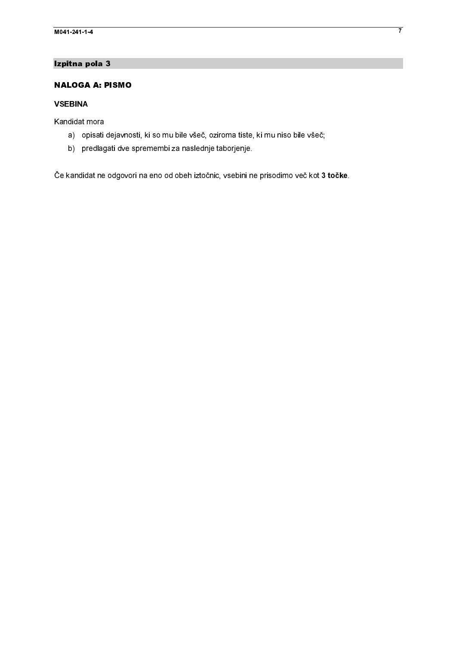# Izpitna pola 3

# **NALOGA A: PISMO**

# **VSEBINA**

Kandidat mora

- a) opisati dejavnosti, ki so mu bile všeč, oziroma tiste, ki mu niso bile všeč;
- b) predlagati dve spremembi za naslednje taborjenje.

**NALOGA A: PI**<br> **NALOGA A: PI**<br> **VSEBINA**<br>
Kandidat mora<br>
a) opisati de<br>
Če kandidat ne oo VSEBINA<br>Kandidat mora<br>a) opisati dejavnos<br>b) predlagati dve s<br>Če kandidat ne odgovor Kandidat n<br>a) op<br>b) pro<br>Če kandida a) opisati<br>b) predlag<br>Če kandidat ne a) predlagati dve spremembi za naslednje taborjenje.<br>
A) predlagati dve spremembi za naslednje taborjenje.<br>
Kanddat ne odgovori na eno od obeh iztočnic, vsebni ne prisodimo več, kot 3 b) predlagati dve spremembe spremembe izlačnic, vsebini naslednic, vsebini na naslednic, vsebini na naslednic.<br>Dogodki Če kandidat ne odgovori na eno od obeh iztočnic, vsebini ne prisodimo več kot 3 točke.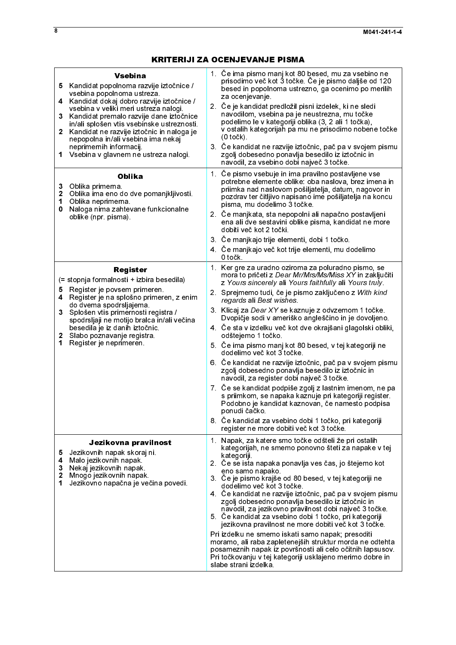| 5.<br>4<br>3<br>1<br>3<br>$\overline{\mathbf{2}}$<br>1<br>0 | <b>Vsebina</b><br>Kandidat popolnoma razvije iztočnice /<br>vsebina popolnoma ustreza.<br>Kandidat dokaj dobro razvije iztočnice /<br>vsebina v veliki meri ustreza nalogi.<br>Kandidat premalo razvije dane iztočnice<br>in/ali splošen vtis vsebinske ustreznosti.<br>2 Kandidat ne razvije iztočnic in naloga je<br>nepopolna in/ali vsebina ima nekaj<br>neprimernih informacij.<br>Vsebina v glavnem ne ustreza nalogi.<br><b>Oblika</b><br>Oblika primerna<br>Oblika ima eno do dve pomanjkljivosti.<br>Oblika neprimerna<br>Naloga nima zahtevane funkcionalne<br>oblike (npr. pisma). | 1. Če ima pismo manj kot 80 besed, mu za vsebino ne<br>prisodimo več kot 3 točke. Če je pismo daljše od 120<br>besed in popolnoma ustrezno, ga ocenimo po merilih<br>za ocenjevanje<br>2. Če je kandidat predložil pisni izdelek, ki ne sledi<br>navodilom, vsebina pa je neustrezna, mu točke<br>podelimo le v kategoriji oblika (3, 2 ali 1 točka),<br>v ostalih kategorijah pa mu ne prisodimo nobene točke<br>$(0 to \check{c}k)$<br>3. Če kandidat ne razvije iztočnic, pač pa v svojem pismu<br>zgolj dobesedno ponavlja besedilo iz iztočnic in<br>navodil, za vsebino dobi največ 3 točke.<br>1. Če pismo vsebuje in ima pravilno postavljene vse<br>potrebne elemente oblike: oba naslova, brez imena in<br>priimka nad naslovom pošiljatelja, datum, nagovor in<br>pozdrav ter čitljivo napisano ime pošiljatelja na koncu<br>pisma, mu dodelimo 3 točke.<br>2. Če manjkata, sta nepopolni ali napačno postavljeni<br>ena ali dve sestavini oblike pisma, kandidat ne more<br>dobiti več kot 2 točki.<br>3. Če manjkajo trije elementi, dobi 1 točko.<br>4. Če manjkajo več kot trije elementi, mu dodelimo<br>0 točk. |
|-------------------------------------------------------------|-----------------------------------------------------------------------------------------------------------------------------------------------------------------------------------------------------------------------------------------------------------------------------------------------------------------------------------------------------------------------------------------------------------------------------------------------------------------------------------------------------------------------------------------------------------------------------------------------|----------------------------------------------------------------------------------------------------------------------------------------------------------------------------------------------------------------------------------------------------------------------------------------------------------------------------------------------------------------------------------------------------------------------------------------------------------------------------------------------------------------------------------------------------------------------------------------------------------------------------------------------------------------------------------------------------------------------------------------------------------------------------------------------------------------------------------------------------------------------------------------------------------------------------------------------------------------------------------------------------------------------------------------------------------------------------------------------------------------------------------|
| 5.<br>4<br>3<br>2<br>1                                      | <b>Register</b><br>(= stopnja formalnosti + izbira besedila)<br>Register je povsem primeren.<br>Register je na splošno primeren, z enim<br>do dvema spodrsljajema.<br>Splošen vtis primernosti registra /<br>spodrsljaji ne motijo bralca in/ali večina<br>besedila je iz danih iztočnic.<br>Slabo poznavanje registra.<br>Register je neprimeren                                                                                                                                                                                                                                             | 1. Ker gre za uradno oziroma za poluradno pismo, se<br>mora to pričeti z Dear Mr/Mrs/Ms/Miss XY in zaključiti<br>z Yours sincerely ali Yours faithfully ali Yours truly.<br>2. Sprejmemo tudi, če je pismo zaključeno z With kind<br>regards ali Best wishes<br>3. Klicaj za Dear XY se kaznuje z odvzemom 1 točke.<br>Dvopičje sodi v ameriško angleščino in je dovoljeno.<br>4. Če sta v izdelku več kot dve okrajšani glagolski obliki,<br>odštejemo 1 točko.<br>5. Če ima pismo manj kot 80 besed, v tej kategoriji ne<br>dodelimo več kot 3 točke.<br>6. Če kandidat ne razvije iztočnic, pač pa v svojem pismu<br>zgolj dobesedno ponavlja besedilo iz iztočnic in<br>navodil, za register dobi največ 3 točke.<br>7. Če se kandidat podpiše zgolj z lastnim imenom, ne pa<br>s priimkom, se napaka kaznuje pri kategoriji register.<br>Podobno je kandidat kaznovan, če namesto podpisa<br>ponudi čačko.<br>8. Če kandidat za vsebino dobi 1 točko, pri kategoriji<br>register ne more dobiti več kot 3 točke.                                                                                                            |
| 5<br>4<br>3<br>$\overline{\mathbf{2}}$<br>1                 | Jezikovna pravilnost<br>Jezikovnih napak skoraj ni.<br>Malo jezikovnih napak.<br>Nekaj jezikovnih napak<br>Mnogo jezikovnih napak.<br>Jezikovno napačna je večina povedi.                                                                                                                                                                                                                                                                                                                                                                                                                     | 1. Napak, za katere smo točke odšteli že pri ostalih<br>kategorijah, ne smemo ponovno šteti za napake v tej<br>kategoriji<br>2. Če se ista napaka ponavlja ves čas, jo štejemo kot<br>eno samo napako.<br>3 Če je pismo krajše od 80 besed, v tej kategoriji ne<br>dodelimo več kot 3 točke.<br>4. Če kandidat ne razvije iztočnic, pač pa v svojem pismu<br>zgolj dobesedno ponavlja besedilo iz iztočnic in<br>navodil, za jezikovno pravilnost dobi največ 3 točke.<br>5 Če kandidat za vsebino dobi 1 točko, pri kategoriji<br>jezikovna pravilnost ne more dobiti več kot 3 točke.<br>Pri izdelku ne smemo iskati samo napak; presoditi<br>moramo, ali raba zapletenejših struktur morda ne odtehta<br>posameznih napak iz površnosti ali celo očitnih lapsusov.<br>Pri točkovanju v tej kategoriji usklajeno merimo dobre in<br>slabe strani izdelka                                                                                                                                                                                                                                                                       |
|                                                             |                                                                                                                                                                                                                                                                                                                                                                                                                                                                                                                                                                                               |                                                                                                                                                                                                                                                                                                                                                                                                                                                                                                                                                                                                                                                                                                                                                                                                                                                                                                                                                                                                                                                                                                                                  |
|                                                             |                                                                                                                                                                                                                                                                                                                                                                                                                                                                                                                                                                                               |                                                                                                                                                                                                                                                                                                                                                                                                                                                                                                                                                                                                                                                                                                                                                                                                                                                                                                                                                                                                                                                                                                                                  |
|                                                             |                                                                                                                                                                                                                                                                                                                                                                                                                                                                                                                                                                                               |                                                                                                                                                                                                                                                                                                                                                                                                                                                                                                                                                                                                                                                                                                                                                                                                                                                                                                                                                                                                                                                                                                                                  |
|                                                             |                                                                                                                                                                                                                                                                                                                                                                                                                                                                                                                                                                                               |                                                                                                                                                                                                                                                                                                                                                                                                                                                                                                                                                                                                                                                                                                                                                                                                                                                                                                                                                                                                                                                                                                                                  |
|                                                             |                                                                                                                                                                                                                                                                                                                                                                                                                                                                                                                                                                                               |                                                                                                                                                                                                                                                                                                                                                                                                                                                                                                                                                                                                                                                                                                                                                                                                                                                                                                                                                                                                                                                                                                                                  |
|                                                             |                                                                                                                                                                                                                                                                                                                                                                                                                                                                                                                                                                                               |                                                                                                                                                                                                                                                                                                                                                                                                                                                                                                                                                                                                                                                                                                                                                                                                                                                                                                                                                                                                                                                                                                                                  |
|                                                             |                                                                                                                                                                                                                                                                                                                                                                                                                                                                                                                                                                                               |                                                                                                                                                                                                                                                                                                                                                                                                                                                                                                                                                                                                                                                                                                                                                                                                                                                                                                                                                                                                                                                                                                                                  |
|                                                             |                                                                                                                                                                                                                                                                                                                                                                                                                                                                                                                                                                                               |                                                                                                                                                                                                                                                                                                                                                                                                                                                                                                                                                                                                                                                                                                                                                                                                                                                                                                                                                                                                                                                                                                                                  |
|                                                             |                                                                                                                                                                                                                                                                                                                                                                                                                                                                                                                                                                                               |                                                                                                                                                                                                                                                                                                                                                                                                                                                                                                                                                                                                                                                                                                                                                                                                                                                                                                                                                                                                                                                                                                                                  |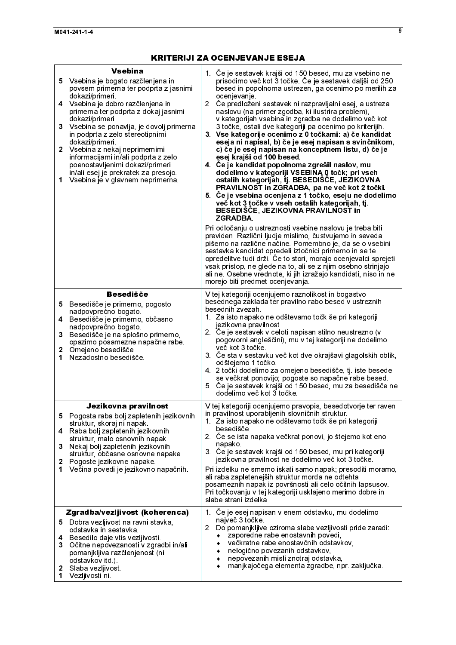| <b>Vsebina</b><br>5 Vsebina je bogato razčlenjena in<br>povsem primerna ter podprta z jasnimi<br>dokazi/primeri.<br>4 Vsebina je dobro razčlenjena in<br>primerna ter podprta z dokaj jasnimi<br>dokazi/primeri<br>3<br>Vsebina se ponavlja, je dovolj primerna<br>in podprta z zelo stereotipnimi<br>dokazi/primeri.<br>2 Vsebina z nekaj neprimernimi<br>informacijami in/ali podprta z zelo<br>poenostavljenimi dokazi/primeri<br>in/ali esej je prekratek za presojo.<br>Vsebina je v glavnem neprimerna.<br>1 | 1. Če je sestavek krajši od 150 besed, mu za vsebino ne<br>prisodimo več kot 3 točke. Če je sestavek daljši od 250<br>besed in popolnoma ustrezen, ga ocenimo po merilih za<br>ocenjevanje.<br>2. Če predloženi sestavek ni razpravljalni esej, a ustreza<br>naslovu (na primer zgodba, ki ilustrira problem),<br>v kategorijah vsebina in zgradba ne dodelimo več kot<br>3 točke, ostali dve kategoriji pa ocenimo po kriterijih.<br>3. Vse kategorije ocenimo z 0 točkami: a) če kandidat<br>eseja ni napisal, b) če je esej napisan s svinčnikom,<br>c) če je esej napisan na konceptnem listu, d) če je<br>esej krajši od 100 besed.<br>4. Če je kandidat popolnoma zgrešil naslov, mu<br>dodelimo v kategoriji VSEBINA 0 točk; pri vseh<br>ostalih kategorijah, tj. BESEDIŠČE, JEZIKOVNA<br>PRAVILNOST in ZGRADBA, pa ne več kot 2 točki.<br>5. Če je vsebina ocenjena z 1 točko, eseju ne dodelimo<br>več kot 3 točke v vseh ostalih kategorijah, tj.<br>BESEDIŠČE, JEZIKOVNA PRAVILNOST in<br><b>ZGRADBA.</b><br>Pri odločanju o ustreznosti vsebine naslovu je treba biti<br>previden. Različni ljudje mislimo, čustvujemo in seveda<br>pišemo na različne načine. Pomembno je, da se o vsebini<br>sestavka kandidat opredeli iztočnici primerno in se te<br>opredelitve tudi drži. Če to stori, morajo ocenjevalci sprejeti<br>vsak pristop, ne glede na to, ali se z njim osebno strinjajo<br>ali ne. Osebne vrednote, ki jih izražajo kandidati, niso in ne<br>morejo biti predmet ocenjevanja. |
|--------------------------------------------------------------------------------------------------------------------------------------------------------------------------------------------------------------------------------------------------------------------------------------------------------------------------------------------------------------------------------------------------------------------------------------------------------------------------------------------------------------------|------------------------------------------------------------------------------------------------------------------------------------------------------------------------------------------------------------------------------------------------------------------------------------------------------------------------------------------------------------------------------------------------------------------------------------------------------------------------------------------------------------------------------------------------------------------------------------------------------------------------------------------------------------------------------------------------------------------------------------------------------------------------------------------------------------------------------------------------------------------------------------------------------------------------------------------------------------------------------------------------------------------------------------------------------------------------------------------------------------------------------------------------------------------------------------------------------------------------------------------------------------------------------------------------------------------------------------------------------------------------------------------------------------------------------------------------------------------------------------------------------------|
| <b>Besedišče</b><br>Besedišče je primerno, pogosto<br>5.<br>nadpovprečno bogato<br>Besedišče je primerno, občasno<br>4<br>nadpovprečno bogato.<br>3<br>Besedišče je na splošno primerno,<br>opazimo posamezne napačne rabe<br>$\mathbf{2}$<br>Omejeno besedišče.<br>Nezadostno besedišče<br>1.                                                                                                                                                                                                                     | V tej kategoriji ocenjujemo raznolikost in bogastvo<br>besednega zaklada ter pravilno rabo besed v ustreznih<br>besednih zvezah.<br>1. Za isto napako ne odštevamo točk še pri kategoriji<br>jezikovna pravilnost<br>2. Če je sestavek v celoti napisan stilno neustrezno (v<br>pogovorni angleščini), mu v tej kategoriji ne dodelimo<br>več kot 3 točke.<br>3. Če sta v sestavku več kot dve okrajšavi glagolskih oblik,<br>odštejemo 1 točko<br>4 2 točki dodelimo za omejeno besedišče, tj. iste besede<br>se večkrat ponovijo; pogoste so napačne rabe besed.<br>5. Če je sestavek krajši od 150 besed, mu za besedišče ne<br>dodelimo več kot 3 točke                                                                                                                                                                                                                                                                                                                                                                                                                                                                                                                                                                                                                                                                                                                                                                                                                                                |
| Jezikovna pravilnost<br>5.<br>Pogosta raba bolj zapletenih jezikovnih<br>struktur, skoraj ni napak.<br>Raba bolj zapletenih jezikovnih<br>4<br>struktur, malo osnovnih napak.<br>Nekaj bolj zapletenih jezikovnih<br>3.<br>struktur, občasne osnovne napake.<br>Pogoste jezikovne napake.<br>2<br>Večina povedi je jezikovno napačnih.<br>1.                                                                                                                                                                       | V tej kategoriji ocenjujemo pravopis, besedotvorje ter raven<br>in pravilnost uporabljenih slovničnih struktur.<br>1. Za isto napako ne odštevamo točk še pri kategoriji<br>besedišče.<br>2. Če se ista napaka večkrat ponovi, jo štejemo kot eno<br>napako.<br>3. Če je sestavek krajši od 150 besed, mu pri kategoriji<br>jezikovna pravilnost ne dodelimo več kot 3 točke.<br>Pri izdelku ne smemo iskati samo napak; presoditi moramo,<br>ali raba zapletenejših struktur morda ne odtehta<br>posameznih napak iz površnosti ali celo očitnih lapsusov.<br>Pri točkovanju v tej kategoriji usklajeno merimo dobre in<br>slabe strani izdelka                                                                                                                                                                                                                                                                                                                                                                                                                                                                                                                                                                                                                                                                                                                                                                                                                                                           |
| Zgradba/vezljivost (koherenca)<br>Dobra vezijivost na ravni stavka,<br>5.<br>odstavka in sestavka<br>4 Besedilo daje vtis vezijivosti.<br>3 <sup>1</sup><br>Očitne nepovezanosti v zgradbi in/ali<br>pomanjkljiva razčlenjenost (ni<br>odstavkov itd.)<br>Slaba vezljivost<br>2<br>1<br>Vezljivosti ni.                                                                                                                                                                                                            | 1. Ce je esej napisan v enem odstavku, mu dodelimo<br>največ 3 točke<br>2. Do pomanjkljive oziroma slabe vezljivosti pride zaradi:<br>zaporedne rabe enostavnih povedi,<br>večkratne rabe enostavčnih odstavkov,<br>nelogično povezanih odstavkov,<br>٠<br>nepovezanih misli znotraj odstavka,<br>٠<br>manjkajočega elementa zgradbe, npr. zaključka.<br>٠                                                                                                                                                                                                                                                                                                                                                                                                                                                                                                                                                                                                                                                                                                                                                                                                                                                                                                                                                                                                                                                                                                                                                 |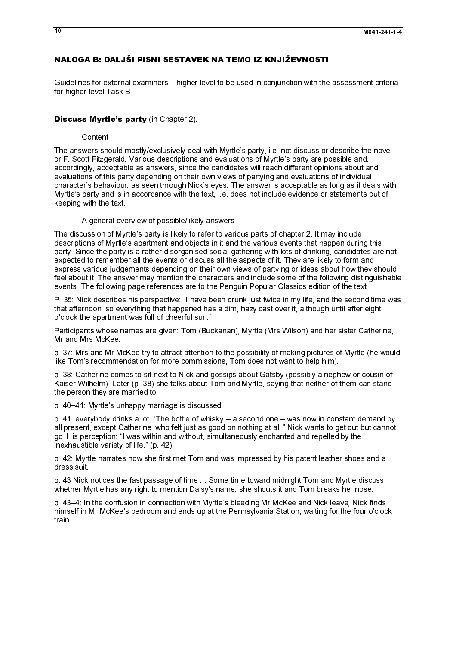## NALOGA B: DALJŠI PISNI SESTAVEK NA TEMO IZ KNJIŽEVNOSTI

Guidelines for external examiners – higher level to be used in conjunction with the<br>for higher level Task B. Guidelines for external examiners – higher level to be used in conjunction with the assessment criteria for higher level Task B.

### **Content**

**Discuss Myrtle's party** (in Chapter 2).<br>Content<br>The answers should mostly/exclusively deal with Myrtle's party, i.e. not discuss or describe the novel or F. Scott Fitzgerald. Various descriptions and evaluations of Myrtle's party are possible and, accordingly, acceptable as answers, since the candidates will reach different opinions about and evaluations of this party depending on their own views of partying and evaluations of individual character's behaviour, as seen through Nick's eyes. The answer is acceptable as long as it deals with Myrtle's party and is in accordance with the text, i.e. does not include evidence or statements out of keeping with the text.

### A general overview of possible/likely answers

The discussion of Myrtle's party is likely to refer to various parts of chapter 2. It may include descriptions of Myrtle's apartment and objects in it and the various events that happen during this party. Since the party is a rather disorganised social gathering with lots of drinking, candidates are not expected to remember all the events or discuss all the aspects of it. They are likely to form and express various judgements depending on their own views of partying or ideas about how they should feel about it. The answer may mention the characters and include some of the following distinguishable events. The following page references are to the Penguin Popular Classics edition of the text.

P. 35: Nick describes his perspective: "I have been drunk just twice in my life, and the second time was that afternoon; so everything that happened has a dim, hazy cast over it, although until after eight o'clock the apartment was full of cheerful sun."

Participants whose names are given: Tom (Buckanan), Myrtle (Mrs Wilson) and her sister Catherine, Mr and Mrs McKee.

p. 37: Mrs and Mr McKee try to attract attention to the possibility of making pictures of Myrtle (he would like Tom's recommendation for more commissions, Tom does not want to help him).

p. 38: Catherine comes to sit next to Nick and gossips about Gatsby (possibly a nephew or cousin of Kaiser Wilhelm). Later (p. 38) she talks about Tom and Myrtle, saying that neither of them can stand the person they are married to.

p. 40–41: Myrtle's unhappy marriage is discussed.

p. 41: everybody drinks a lot: "The bottle of whisky -- a second one – was now in constant demand by all present, except Catherine, who felt just as good on nothing at all." Nick wants to get out but cannot go. His perception: "I was within and without, simultaneously enchanted and repelled by the inexhaustible variety of life." (p. 42)

p. 42: Myrtle narrates how she first met Tom and was impressed by his patent leather shoes and a dress suit.

p. 43 Nick notices the fast passage of time ... Some time toward midnight Tom and Myrtle discuss whether Myrtle has any right to mention Daisy's name, she shouts it and Tom breaks her nose.

p. 43–4: In the confusion in connection with Myrtle's bleeding Mr McKee and Nick leave, Nick finds himself in Mr McKee's bedroom and ends up at the Pennsylvania Station, waiting for the four o'clock train.